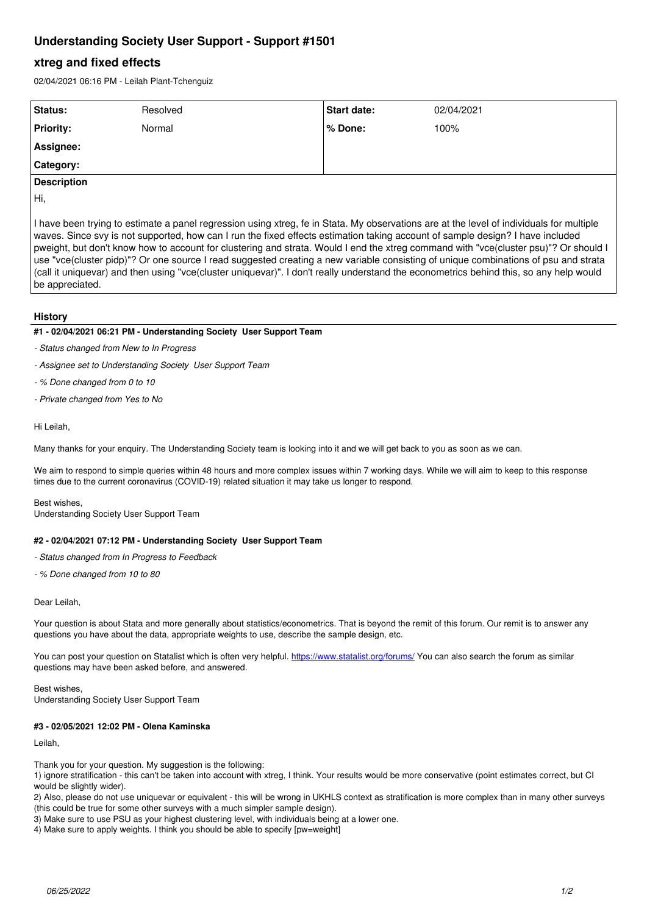# **Understanding Society User Support - Support #1501**

# **xtreg and fixed effects**

02/04/2021 06:16 PM - Leilah Plant-Tchenguiz

| Status:            | Resolved | Start date: | 02/04/2021 |
|--------------------|----------|-------------|------------|
| <b>Priority:</b>   | Normal   | l % Done:   | 100%       |
| Assignee:          |          |             |            |
| <b>Category:</b>   |          |             |            |
| <b>Description</b> |          |             |            |

Hi,

I have been trying to estimate a panel regression using xtreg, fe in Stata. My observations are at the level of individuals for multiple waves. Since svy is not supported, how can I run the fixed effects estimation taking account of sample design? I have included pweight, but don't know how to account for clustering and strata. Would I end the xtreg command with "vce(cluster psu)"? Or should I use "vce(cluster pidp)"? Or one source I read suggested creating a new variable consisting of unique combinations of psu and strata (call it uniquevar) and then using "vce(cluster uniquevar)". I don't really understand the econometrics behind this, so any help would be appreciated.

### **History**

### **#1 - 02/04/2021 06:21 PM - Understanding Society User Support Team**

- *Status changed from New to In Progress*
- *Assignee set to Understanding Society User Support Team*
- *% Done changed from 0 to 10*
- *Private changed from Yes to No*

#### Hi Leilah,

Many thanks for your enquiry. The Understanding Society team is looking into it and we will get back to you as soon as we can.

We aim to respond to simple queries within 48 hours and more complex issues within 7 working days. While we will aim to keep to this response times due to the current coronavirus (COVID-19) related situation it may take us longer to respond.

Best wishes, Understanding Society User Support Team

#### **#2 - 02/04/2021 07:12 PM - Understanding Society User Support Team**

- *Status changed from In Progress to Feedback*
- *% Done changed from 10 to 80*

#### Dear Leilah,

Your question is about Stata and more generally about statistics/econometrics. That is beyond the remit of this forum. Our remit is to answer any questions you have about the data, appropriate weights to use, describe the sample design, etc.

You can post your question on Statalist which is often very helpful.<https://www.statalist.org/forums/>You can also search the forum as similar questions may have been asked before, and answered.

Best wishes, Understanding Society User Support Team

#### **#3 - 02/05/2021 12:02 PM - Olena Kaminska**

Leilah,

Thank you for your question. My suggestion is the following:

1) ignore stratification - this can't be taken into account with xtreg, I think. Your results would be more conservative (point estimates correct, but CI would be slightly wider).

2) Also, please do not use uniquevar or equivalent - this will be wrong in UKHLS context as stratification is more complex than in many other surveys (this could be true for some other surveys with a much simpler sample design).

3) Make sure to use PSU as your highest clustering level, with individuals being at a lower one.

4) Make sure to apply weights. I think you should be able to specify [pw=weight]